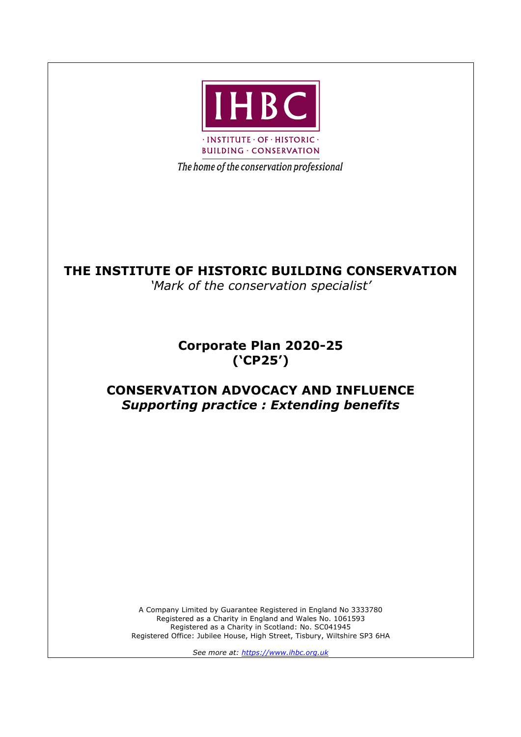

The home of the conservation professional

# **THE INSTITUTE OF HISTORIC BUILDING CONSERVATION**

*'Mark of the conservation specialist'*

**Corporate Plan 2020-25 ('CP25')**

# **CONSERVATION ADVOCACY AND INFLUENCE** *Supporting practice : Extending benefits*

A Company Limited by Guarantee Registered in England No 3333780 Registered as a Charity in England and Wales No. 1061593 Registered as a Charity in Scotland: No. SC041945 Registered Office: Jubilee House, High Street, Tisbury, Wiltshire SP3 6HA

*See more at: https://www.ihbc.org.uk*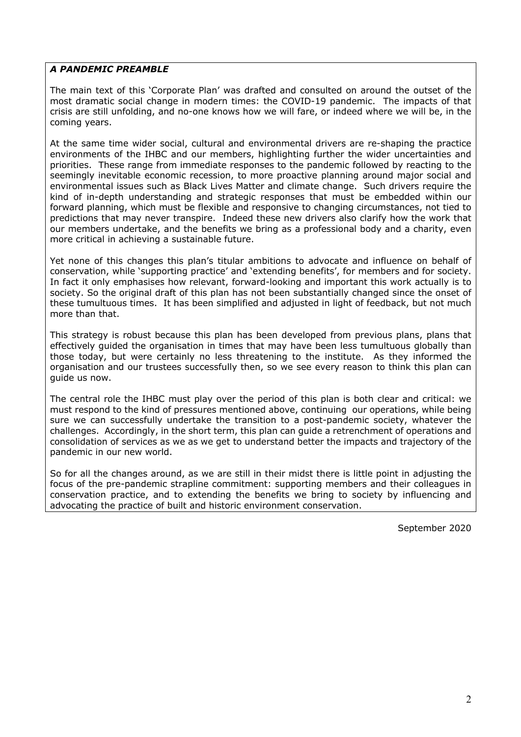## *A PANDEMIC PREAMBLE*

The main text of this 'Corporate Plan' was drafted and consulted on around the outset of the most dramatic social change in modern times: the COVID-19 pandemic. The impacts of that crisis are still unfolding, and no-one knows how we will fare, or indeed where we will be, in the coming years.

At the same time wider social, cultural and environmental drivers are re-shaping the practice environments of the IHBC and our members, highlighting further the wider uncertainties and priorities. These range from immediate responses to the pandemic followed by reacting to the seemingly inevitable economic recession, to more proactive planning around major social and environmental issues such as Black Lives Matter and climate change. Such drivers require the kind of in-depth understanding and strategic responses that must be embedded within our forward planning, which must be flexible and responsive to changing circumstances, not tied to predictions that may never transpire. Indeed these new drivers also clarify how the work that our members undertake, and the benefits we bring as a professional body and a charity, even more critical in achieving a sustainable future.

Yet none of this changes this plan's titular ambitions to advocate and influence on behalf of conservation, while 'supporting practice' and 'extending benefits', for members and for society. In fact it only emphasises how relevant, forward-looking and important this work actually is to society. So the original draft of this plan has not been substantially changed since the onset of these tumultuous times. It has been simplified and adjusted in light of feedback, but not much more than that.

This strategy is robust because this plan has been developed from previous plans, plans that effectively guided the organisation in times that may have been less tumultuous globally than those today, but were certainly no less threatening to the institute. As they informed the organisation and our trustees successfully then, so we see every reason to think this plan can guide us now.

The central role the IHBC must play over the period of this plan is both clear and critical: we must respond to the kind of pressures mentioned above, continuing our operations, while being sure we can successfully undertake the transition to a post-pandemic society, whatever the challenges. Accordingly, in the short term, this plan can guide a retrenchment of operations and consolidation of services as we as we get to understand better the impacts and trajectory of the pandemic in our new world.

So for all the changes around, as we are still in their midst there is little point in adjusting the focus of the pre-pandemic strapline commitment: supporting members and their colleagues in conservation practice, and to extending the benefits we bring to society by influencing and advocating the practice of built and historic environment conservation.

September 2020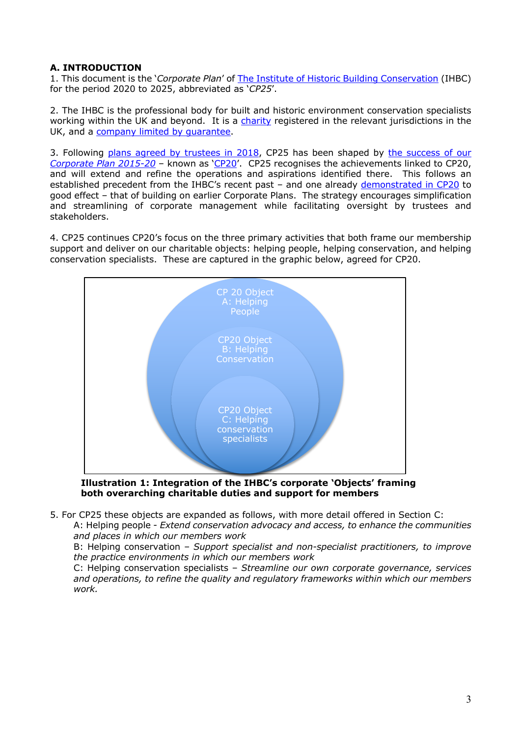# **A. INTRODUCTION**

1. This document is the '*Corporate Plan*' of The Institute of Historic Building Conservation (IHBC) for the period 2020 to 2025, abbreviated as '*CP25*'.

2. The IHBC is the professional body for built and historic environment conservation specialists working within the UK and beyond. It is a charity registered in the relevant jurisdictions in the UK, and a company limited by guarantee.

3. Following plans agreed by trustees in 2018, CP25 has been shaped by the success of our *Corporate Plan 2015-20* – known as 'CP20'. CP25 recognises the achievements linked to CP20, and will extend and refine the operations and aspirations identified there. This follows an established precedent from the IHBC's recent past - and one already demonstrated in CP20 to good effect – that of building on earlier Corporate Plans. The strategy encourages simplification and streamlining of corporate management while facilitating oversight by trustees and stakeholders.

4. CP25 continues CP20's focus on the three primary activities that both frame our membership support and deliver on our charitable objects: helping people, helping conservation, and helping conservation specialists. These are captured in the graphic below, agreed for CP20.



**Illustration 1: Integration of the IHBC's corporate 'Objects' framing both overarching charitable duties and support for members**

5. For CP25 these objects are expanded as follows, with more detail offered in Section C:

A: Helping people - *Extend conservation advocacy and access, to enhance the communities and places in which our members work*

B: Helping conservation – *Support specialist and non-specialist practitioners, to improve the practice environments in which our members work*

C: Helping conservation specialists – *Streamline our own corporate governance, services and operations, to refine the quality and regulatory frameworks within which our members work.*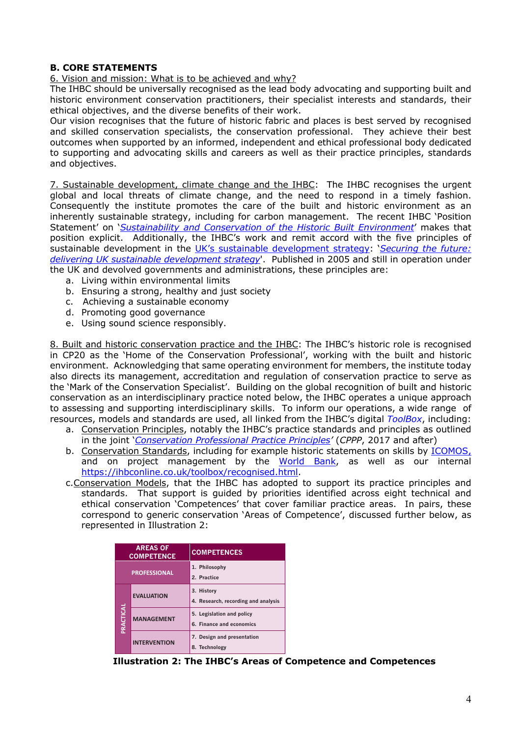# **B. CORE STATEMENTS**

### 6. Vision and mission: What is to be achieved and why?

The IHBC should be universally recognised as the lead body advocating and supporting built and historic environment conservation practitioners, their specialist interests and standards, their ethical objectives, and the diverse benefits of their work.

Our vision recognises that the future of historic fabric and places is best served by recognised and skilled conservation specialists, the conservation professional. They achieve their best outcomes when supported by an informed, independent and ethical professional body dedicated to supporting and advocating skills and careers as well as their practice principles, standards and objectives.

7. Sustainable development, climate change and the IHBC: The IHBC recognises the urgent global and local threats of climate change, and the need to respond in a timely fashion. Consequently the institute promotes the care of the built and historic environment as an inherently sustainable strategy, including for carbon management. The recent IHBC 'Position Statement' on '*Sustainability and Conservation of the Historic Built Environment*' makes that position explicit. Additionally, the IHBC's work and remit accord with the five principles of sustainable development in the UK's sustainable development strategy: '*Securing the future:*  delivering UK sustainable development strategy'. Published in 2005 and still in operation under the UK and devolved governments and administrations, these principles are:

- a. Living within environmental limits
- b. Ensuring a strong, healthy and just society
- c. Achieving a sustainable economy **4. Research/Recording/Analysis:**
- d. Promoting good governance Ability to carry out or commission
- e. Using sound science responsibly.

8. Built and historic conservation practice and the IHBC: The IHBC's historic role is recognised in CP20 as the 'Home of the Conservation Professional', working with the built and historic environment. Acknowledging that same operating environment for members, the institute today also directs its management, accreditation and regulation of conservation practice to serve as the 'Mark of the Conservation Specialist'. Building on the global recognition of built and historic conservation as an interdisciplinary practice noted below, the IHBC operates a unique approach to assessing and supporting interdisciplinary skills. To inform our operations, a wide range of resources, models and standards are used, all linked from the IHBC's digital *ToolBox*, including: n<br>inment for me c grown recegni<br>, the IHBC oper inform our op

- **Professional and cumulated areas as an amode in the theory areas of the contracts**, includings and professional principles as outlined in the joint 'Conservation Professional Practice Principles' (CPPP, 2017 and after) m the Inbobia.<br>The standards a
- b. Conservation Standards, including for example historic statements on skills by **ICOMOS**, and on project management by the World Bank, as well as our internal https://ihbconline.co.uk/toolbox/recognised.html and to promote its protection.
- c. Conservation Models, that the IHBC has adopted to support its practice principles and standards. That support is guided by priorities identified across eight technical and ethical conservation 'Competences' that cover familiar practice areas. In pairs, these correspond to generic conservation `Areas of Competence', discussed further below, as represented in Illustration 2: materials and appropriate methods of repair and alteration of historic fabric.

| <b>AREAS OF</b><br><b>COMPETENCE</b> |                     | <b>COMPETENCES</b>                                    |
|--------------------------------------|---------------------|-------------------------------------------------------|
| <b>PROFESSIONAL</b>                  |                     | 1. Philosophy<br>2. Practice                          |
| PRACTICAL                            | <b>EVALUATION</b>   | 3. History<br>4. Research, recording and analysis     |
|                                      | <b>MANAGEMENT</b>   | 5. Legislation and policy<br>6. Finance and economics |
|                                      | <b>INTERVENTION</b> | 7. Design and presentation<br>8. Technology           |

**Illustration 2: The IHBC's Areas of Competence and Competences**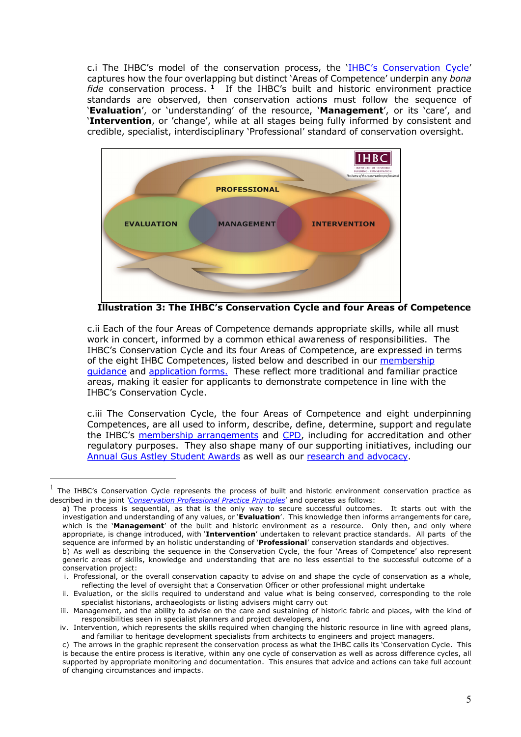c.i The IHBC's model of the conservation process, the 'IHBC's Conservation Cycle' captures how the four overlapping but distinct 'Areas of Competence' underpin any *bona fide* conservation process. **<sup>1</sup>** If the IHBC's built and historic environment practice standards are observed, then conservation actions must follow the sequence of '**Evaluation**', or 'understanding' of the resource, '**Management**', or its 'care', and '**Intervention**, or 'change', while at all stages being fully informed by consistent and credible, specialist, interdisciplinary 'Professional' standard of conservation oversight.



**Illustration 3: The IHBC's Conservation Cycle and four Areas of Competence**

c.ii Each of the four Areas of Competence demands appropriate skills, while all must work in concert, informed by a common ethical awareness of responsibilities. The IHBC's Conservation Cycle and its four Areas of Competence, are expressed in terms of the eight IHBC Competences, listed below and described in our membership guidance and application forms. These reflect more traditional and familiar practice areas, making it easier for applicants to demonstrate competence in line with the IHBC's Conservation Cycle.

c.iii The Conservation Cycle, the four Areas of Competence and eight underpinning Competences, are all used to inform, describe, define, determine, support and regulate the IHBC's membership arrangements and CPD, including for accreditation and other regulatory purposes. They also shape many of our supporting initiatives, including our Annual Gus Astley Student Awards as well as our research and advocacy.

The IHBC's Conservation Cycle represents the process of built and historic environment conservation practice as described in the joint *'Conservation Professional Practice Principles*' and operates as follows:

a) The process is sequential, as that is the only way to secure successful outcomes. It starts out with the investigation and understanding of any values, or '**Evaluation**'. This knowledge then informs arrangements for care, which is the '**Management**' of the built and historic environment as a resource. Only then, and only where appropriate, is change introduced, with '**Intervention**' undertaken to relevant practice standards. All parts of the sequence are informed by an holistic understanding of '**Professional**' conservation standards and objectives.

b) As well as describing the sequence in the Conservation Cycle, the four 'Areas of Competence' also represent generic areas of skills, knowledge and understanding that are no less essential to the successful outcome of a conservation project:

i. Professional, or the overall conservation capacity to advise on and shape the cycle of conservation as a whole, reflecting the level of oversight that a Conservation Officer or other professional might undertake

ii. Evaluation, or the skills required to understand and value what is being conserved, corresponding to the role specialist historians, archaeologists or listing advisers might carry out

iii. Management, and the ability to advise on the care and sustaining of historic fabric and places, with the kind of responsibilities seen in specialist planners and project developers, and

iv. Intervention, which represents the skills required when changing the historic resource in line with agreed plans, and familiar to heritage development specialists from architects to engineers and project managers.

c) The arrows in the graphic represent the conservation process as what the IHBC calls its 'Conservation Cycle. This is because the entire process is iterative, within any one cycle of conservation as well as across difference cycles, all supported by appropriate monitoring and documentation. This ensures that advice and actions can take full account of changing circumstances and impacts.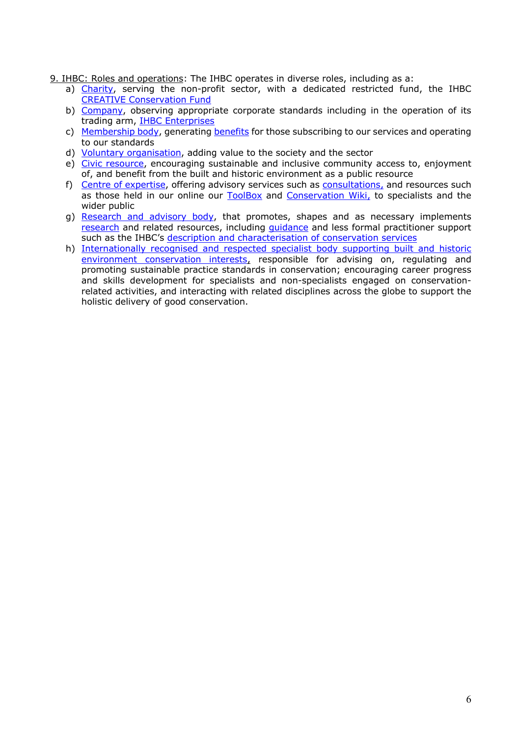- 9. IHBC: Roles and operations: The IHBC operates in diverse roles, including as a:
	- a) Charity, serving the non-profit sector, with a dedicated restricted fund, the IHBC CREATIVE Conservation Fund
	- b) Company, observing appropriate corporate standards including in the operation of its trading arm, IHBC Enterprises
	- c) Membership body, generating benefits for those subscribing to our services and operating to our standards
	- d) Voluntary organisation, adding value to the society and the sector
	- e) Civic resource, encouraging sustainable and inclusive community access to, enjoyment of, and benefit from the built and historic environment as a public resource
	- f) Centre of expertise, offering advisory services such as consultations, and resources such as those held in our online our ToolBox and Conservation Wiki, to specialists and the wider public
	- g) Research and advisory body, that promotes, shapes and as necessary implements research and related resources, including guidance and less formal practitioner support such as the IHBC's description and characterisation of conservation services
	- h) Internationally recognised and respected specialist body supporting built and historic environment conservation interests, responsible for advising on, regulating and promoting sustainable practice standards in conservation; encouraging career progress and skills development for specialists and non-specialists engaged on conservationrelated activities, and interacting with related disciplines across the globe to support the holistic delivery of good conservation.